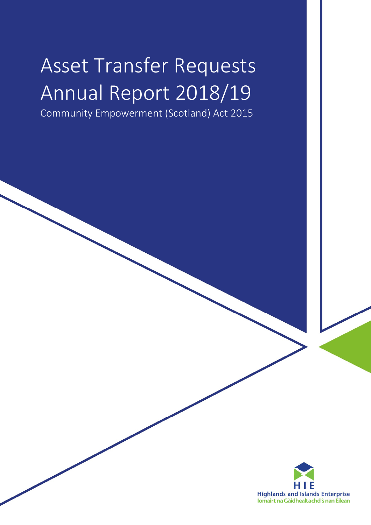# Asset Transfer Requests Annual Report 2018/19

Community Empowerment (Scotland) Act 2015

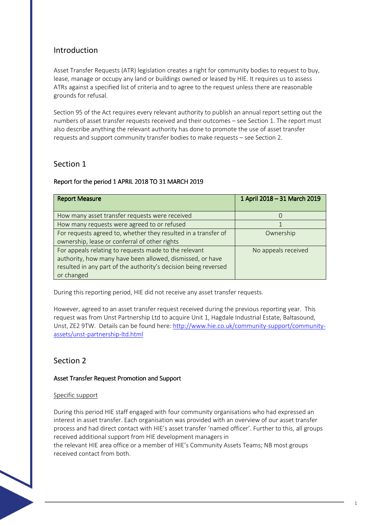## Introduction

Asset Transfer Requests (ATR) legislation creates a right for community bodies to request to buy, lease, manage or occupy any land or buildings owned or leased by HIE. It requires us to assess ATRs against a specified list of criteria and to agree to the request unless there are reasonable grounds for refusal.

Section 95 of the Act requires every relevant authority to publish an annual report setting out the numbers of asset transfer requests received and their outcomes – see Section 1. The report must also describe anything the relevant authority has done to promote the use of asset transfer requests and support community transfer bodies to make requests – see Section 2.

## Section 1

### Report for the period 1 APRIL 2018 TO 31 MARCH 2019

| <b>Report Measure</b>                                           | 1 April 2018 - 31 March 2019 |
|-----------------------------------------------------------------|------------------------------|
| How many asset transfer requests were received                  |                              |
| How many requests were agreed to or refused                     |                              |
| For requests agreed to, whether they resulted in a transfer of  | Ownership                    |
| ownership, lease or conferral of other rights                   |                              |
| For appeals relating to requests made to the relevant           | No appeals received          |
| authority, how many have been allowed, dismissed, or have       |                              |
| resulted in any part of the authority's decision being reversed |                              |
| or changed                                                      |                              |

During this reporting period, HIE did not receive any asset transfer requests.

However, agreed to an asset transfer request received during the previous reporting year. This request was from Unst Partnership Ltd to acquire Unit 1, Hagdale Industrial Estate, Baltasound, Unst, ZE2 9TW. Details can be found here: http://www.hie.co.uk/community-support/communityassets/unst-partnership-ltd.html

## Section 2

### Asset Transfer Request Promotion and Support

### Specific support

During this period HIE staff engaged with four community organisations who had expressed an interest in asset transfer. Each organisation was provided with an overview of our asset transfer process and had direct contact with HIE's asset transfer 'named officer'. Further to this, all groups received additional support from HIE development managers in the relevant HIE area office or a member of HIE's Community Assets Teams; NB most groups received contact from both.